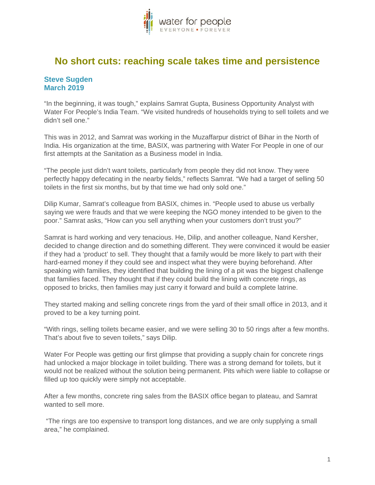

## **No short cuts: reaching scale takes time and persistence**

## **Steve Sugden March 2019**

"In the beginning, it was tough," explains Samrat Gupta, Business Opportunity Analyst with Water For People's India Team. "We visited hundreds of households trying to sell toilets and we didn't sell one."

This was in 2012, and Samrat was working in the Muzaffarpur district of Bihar in the North of India. His organization at the time, BASIX, was partnering with Water For People in one of our first attempts at the Sanitation as a Business model in India.

"The people just didn't want toilets, particularly from people they did not know. They were perfectly happy defecating in the nearby fields," reflects Samrat. "We had a target of selling 50 toilets in the first six months, but by that time we had only sold one."

Dilip Kumar, Samrat's colleague from BASIX, chimes in. "People used to abuse us verbally saying we were frauds and that we were keeping the NGO money intended to be given to the poor." Samrat asks, "How can you sell anything when your customers don't trust you?"

Samrat is hard working and very tenacious. He, Dilip, and another colleague, Nand Kersher, decided to change direction and do something different. They were convinced it would be easier if they had a 'product' to sell. They thought that a family would be more likely to part with their hard-earned money if they could see and inspect what they were buying beforehand. After speaking with families, they identified that building the lining of a pit was the biggest challenge that families faced. They thought that if they could build the lining with concrete rings, as opposed to bricks, then families may just carry it forward and build a complete latrine.

They started making and selling concrete rings from the yard of their small office in 2013, and it proved to be a key turning point.

"With rings, selling toilets became easier, and we were selling 30 to 50 rings after a few months. That's about five to seven toilets," says Dilip.

Water For People was getting our first glimpse that providing a supply chain for concrete rings had unlocked a major blockage in toilet building. There was a strong demand for toilets, but it would not be realized without the solution being permanent. Pits which were liable to collapse or filled up too quickly were simply not acceptable.

After a few months, concrete ring sales from the BASIX office began to plateau, and Samrat wanted to sell more.

"The rings are too expensive to transport long distances, and we are only supplying a small area," he complained.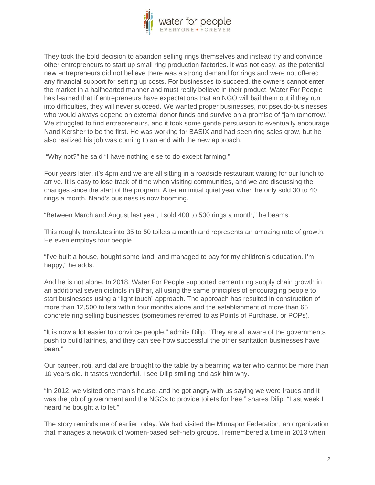

They took the bold decision to abandon selling rings themselves and instead try and convince other entrepreneurs to start up small ring production factories. It was not easy, as the potential new entrepreneurs did not believe there was a strong demand for rings and were not offered any financial support for setting up costs. For businesses to succeed, the owners cannot enter the market in a halfhearted manner and must really believe in their product. Water For People has learned that if entrepreneurs have expectations that an NGO will bail them out if they run into difficulties, they will never succeed. We wanted proper businesses, not pseudo-businesses who would always depend on external donor funds and survive on a promise of "jam tomorrow." We struggled to find entrepreneurs, and it took some gentle persuasion to eventually encourage Nand Kersher to be the first. He was working for BASIX and had seen ring sales grow, but he also realized his job was coming to an end with the new approach.

"Why not?" he said "I have nothing else to do except farming."

Four years later, it's 4pm and we are all sitting in a roadside restaurant waiting for our lunch to arrive. It is easy to lose track of time when visiting communities, and we are discussing the changes since the start of the program. After an initial quiet year when he only sold 30 to 40 rings a month, Nand's business is now booming.

"Between March and August last year, I sold 400 to 500 rings a month," he beams.

This roughly translates into 35 to 50 toilets a month and represents an amazing rate of growth. He even employs four people.

"I've built a house, bought some land, and managed to pay for my children's education. I'm happy," he adds.

And he is not alone. In 2018, Water For People supported cement ring supply chain growth in an additional seven districts in Bihar, all using the same principles of encouraging people to start businesses using a "light touch" approach. The approach has resulted in construction of more than 12,500 toilets within four months alone and the establishment of more than 65 concrete ring selling businesses (sometimes referred to as Points of Purchase, or POPs).

"It is now a lot easier to convince people," admits Dilip. "They are all aware of the governments push to build latrines, and they can see how successful the other sanitation businesses have been."

Our paneer, roti, and dal are brought to the table by a beaming waiter who cannot be more than 10 years old. It tastes wonderful. I see Dilip smiling and ask him why.

"In 2012, we visited one man's house, and he got angry with us saying we were frauds and it was the job of government and the NGOs to provide toilets for free," shares Dilip. "Last week I heard he bought a toilet."

The story reminds me of earlier today. We had visited the Minnapur Federation, an organization that manages a network of women-based self-help groups. I remembered a time in 2013 when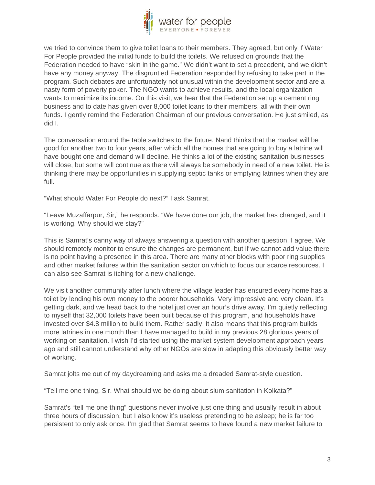

we tried to convince them to give toilet loans to their members. They agreed, but only if Water For People provided the initial funds to build the toilets. We refused on grounds that the Federation needed to have "skin in the game." We didn't want to set a precedent, and we didn't have any money anyway. The disgruntled Federation responded by refusing to take part in the program. Such debates are unfortunately not unusual within the development sector and are a nasty form of poverty poker. The NGO wants to achieve results, and the local organization wants to maximize its income. On this visit, we hear that the Federation set up a cement ring business and to date has given over 8,000 toilet loans to their members, all with their own funds. I gently remind the Federation Chairman of our previous conversation. He just smiled, as did I.

The conversation around the table switches to the future. Nand thinks that the market will be good for another two to four years, after which all the homes that are going to buy a latrine will have bought one and demand will decline. He thinks a lot of the existing sanitation businesses will close, but some will continue as there will always be somebody in need of a new toilet. He is thinking there may be opportunities in supplying septic tanks or emptying latrines when they are full.

"What should Water For People do next?" I ask Samrat.

"Leave Muzaffarpur, Sir," he responds. "We have done our job, the market has changed, and it is working. Why should we stay?"

This is Samrat's canny way of always answering a question with another question. I agree. We should remotely monitor to ensure the changes are permanent, but if we cannot add value there is no point having a presence in this area. There are many other blocks with poor ring supplies and other market failures within the sanitation sector on which to focus our scarce resources. I can also see Samrat is itching for a new challenge.

We visit another community after lunch where the village leader has ensured every home has a toilet by lending his own money to the poorer households. Very impressive and very clean. It's getting dark, and we head back to the hotel just over an hour's drive away. I'm quietly reflecting to myself that 32,000 toilets have been built because of this program, and households have invested over \$4.8 million to build them. Rather sadly, it also means that this program builds more latrines in one month than I have managed to build in my previous 28 glorious years of working on sanitation. I wish I'd started using the market system development approach years ago and still cannot understand why other NGOs are slow in adapting this obviously better way of working.

Samrat jolts me out of my daydreaming and asks me a dreaded Samrat-style question.

"Tell me one thing, Sir. What should we be doing about slum sanitation in Kolkata?"

Samrat's "tell me one thing" questions never involve just one thing and usually result in about three hours of discussion, but I also know it's useless pretending to be asleep; he is far too persistent to only ask once. I'm glad that Samrat seems to have found a new market failure to